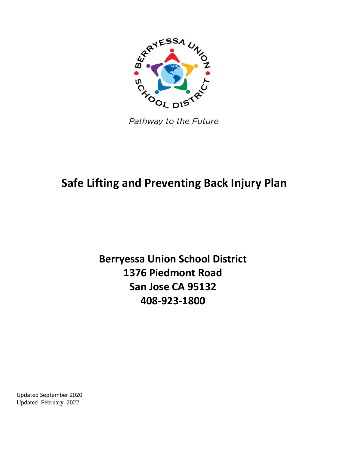

Pathway to the Future

## **Safe Lifting and Preventing Back Injury Plan**

**Berryessa Union School District 1376 Piedmont Road San Jose CA 95132 408-923-1800**

Updated September 2020 Updated February 2022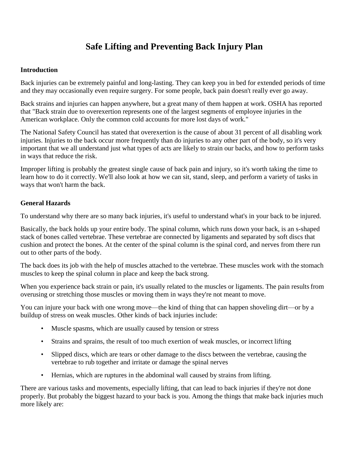### **Safe Lifting and Preventing Back Injury Plan**

#### **Introduction**

Back injuries can be extremely painful and long-lasting. They can keep you in bed for extended periods of time and they may occasionally even require surgery. For some people, back pain doesn't really ever go away.

Back strains and injuries can happen anywhere, but a great many of them happen at work. OSHA has reported that "Back strain due to overexertion represents one of the largest segments of employee injuries in the American workplace. Only the common cold accounts for more lost days of work."

The National Safety Council has stated that overexertion is the cause of about 31 percent of all disabling work injuries. Injuries to the back occur more frequently than do injuries to any other part of the body, so it's very important that we all understand just what types of acts are likely to strain our backs, and how to perform tasks in ways that reduce the risk.

Improper lifting is probably the greatest single cause of back pain and injury, so it's worth taking the time to learn how to do it correctly. We'll also look at how we can sit, stand, sleep, and perform a variety of tasks in ways that won't harm the back.

#### **General Hazards**

To understand why there are so many back injuries, it's useful to understand what's in your back to be injured.

Basically, the back holds up your entire body. The spinal column, which runs down your back, is an s-shaped stack of bones called vertebrae. These vertebrae are connected by ligaments and separated by soft discs that cushion and protect the bones. At the center of the spinal column is the spinal cord, and nerves from there run out to other parts of the body.

The back does its job with the help of muscles attached to the vertebrae. These muscles work with the stomach muscles to keep the spinal column in place and keep the back strong.

When you experience back strain or pain, it's usually related to the muscles or ligaments. The pain results from overusing or stretching those muscles or moving them in ways they're not meant to move.

You can injure your back with one wrong move—the kind of thing that can happen shoveling dirt—or by a buildup of stress on weak muscles. Other kinds of back injuries include:

- Muscle spasms, which are usually caused by tension or stress
- Strains and sprains, the result of too much exertion of weak muscles, or incorrect lifting
- Slipped discs, which are tears or other damage to the discs between the vertebrae, causing the vertebrae to rub together and irritate or damage the spinal nerves
- Hernias, which are ruptures in the abdominal wall caused by strains from lifting.

There are various tasks and movements, especially lifting, that can lead to back injuries if they're not done properly. But probably the biggest hazard to your back is you. Among the things that make back injuries much more likely are: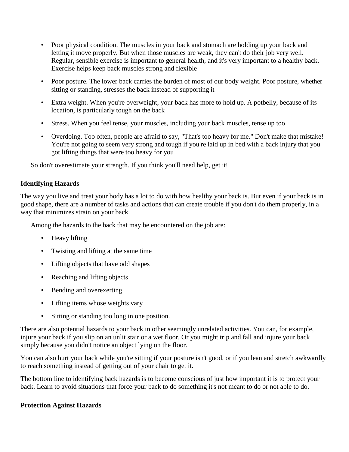- Poor physical condition. The muscles in your back and stomach are holding up your back and letting it move properly. But when those muscles are weak, they can't do their job very well. Regular, sensible exercise is important to general health, and it's very important to a healthy back. Exercise helps keep back muscles strong and flexible
- Poor posture. The lower back carries the burden of most of our body weight. Poor posture, whether sitting or standing, stresses the back instead of supporting it
- Extra weight. When you're overweight, your back has more to hold up. A potbelly, because of its location, is particularly tough on the back
- Stress. When you feel tense, your muscles, including your back muscles, tense up too
- Overdoing. Too often, people are afraid to say, "That's too heavy for me." Don't make that mistake! You're not going to seem very strong and tough if you're laid up in bed with a back injury that you got lifting things that were too heavy for you

So don't overestimate your strength. If you think you'll need help, get it!

#### **Identifying Hazards**

The way you live and treat your body has a lot to do with how healthy your back is. But even if your back is in good shape, there are a number of tasks and actions that can create trouble if you don't do them properly, in a way that minimizes strain on your back.

Among the hazards to the back that may be encountered on the job are:

- Heavy lifting
- Twisting and lifting at the same time
- Lifting objects that have odd shapes
- Reaching and lifting objects
- Bending and overexerting
- Lifting items whose weights vary
- Sitting or standing too long in one position.

There are also potential hazards to your back in other seemingly unrelated activities. You can, for example, injure your back if you slip on an unlit stair or a wet floor. Or you might trip and fall and injure your back simply because you didn't notice an object lying on the floor.

You can also hurt your back while you're sitting if your posture isn't good, or if you lean and stretch awkwardly to reach something instead of getting out of your chair to get it.

The bottom line to identifying back hazards is to become conscious of just how important it is to protect your back. Learn to avoid situations that force your back to do something it's not meant to do or not able to do.

#### **Protection Against Hazards**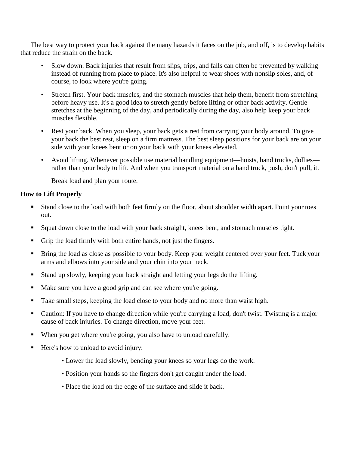The best way to protect your back against the many hazards it faces on the job, and off, is to develop habits that reduce the strain on the back.

- Slow down. Back injuries that result from slips, trips, and falls can often be prevented by walking instead of running from place to place. It's also helpful to wear shoes with nonslip soles, and, of course, to look where you're going.
- Stretch first. Your back muscles, and the stomach muscles that help them, benefit from stretching before heavy use. It's a good idea to stretch gently before lifting or other back activity. Gentle stretches at the beginning of the day, and periodically during the day, also help keep your back muscles flexible.
- Rest your back. When you sleep, your back gets a rest from carrying your body around. To give your back the best rest, sleep on a firm mattress. The best sleep positions for your back are on your side with your knees bent or on your back with your knees elevated.
- Avoid lifting. Whenever possible use material handling equipment—hoists, hand trucks, dollies rather than your body to lift. And when you transport material on a hand truck, push, don't pull, it.

Break load and plan your route.

#### **How to Lift Properly**

- Stand close to the load with both feet firmly on the floor, about shoulder width apart. Point your toes out.
- Squat down close to the load with your back straight, knees bent, and stomach muscles tight.
- Grip the load firmly with both entire hands, not just the fingers.
- **Bring the load as close as possible to your body. Keep your weight centered over your feet. Tuck your** arms and elbows into your side and your chin into your neck.
- Stand up slowly, keeping your back straight and letting your legs do the lifting.
- Make sure you have a good grip and can see where you're going.
- Take small steps, keeping the load close to your body and no more than waist high.
- Caution: If you have to change direction while you're carrying a load, don't twist. Twisting is a major cause of back injuries. To change direction, move your feet.
- When you get where you're going, you also have to unload carefully.
- Here's how to unload to avoid injury:
	- Lower the load slowly, bending your knees so your legs do the work.
	- Position your hands so the fingers don't get caught under the load.
	- Place the load on the edge of the surface and slide it back.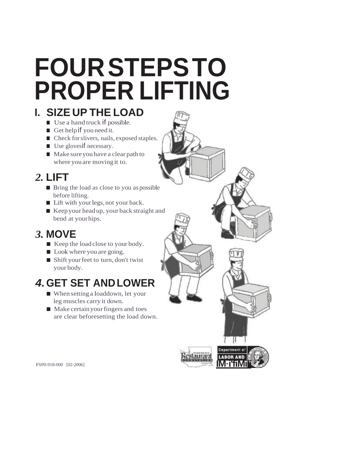# **FOURSTEPSTO PROPER LIFTING**

## **I. SIZE UP THE LOAD**

- Use a hand truck if possible.
- Get help if you need it.
- Check for slivers, nails, exposed staples.
- Use glovesif necessary.
- Make sure you have a clear path to where youare moving it to.

## *2.* **LIFT**

- Bring the load as close to you as possible before lifting.
- Lift with your legs, not your back.
- Keep your head up, your back straight and bend at yourhips.

## *3.* **MOVE**

- Keep the load close to your body.
- Look where you are going.
- Shift your feet to turn, don't twist your body.

## *4.***GET SET ANDLOWER**

- When setting a loaddown, let your leg muscles carry it down.
- Make certain your fingers and toes are clear beforesetting the load down.



FSP0-918-000 [02-2006]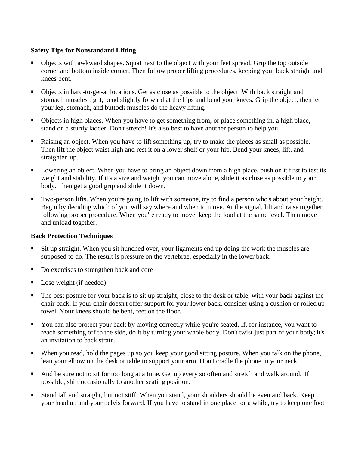#### **Safety Tips for Nonstandard Lifting**

- Objects with awkward shapes. Squat next to the object with your feet spread. Grip the top outside corner and bottom inside corner. Then follow proper lifting procedures, keeping your back straight and knees bent.
- Objects in hard-to-get-at locations. Get as close as possible to the object. With back straight and stomach muscles tight, bend slightly forward at the hips and bend your knees. Grip the object; then let your leg, stomach, and buttock muscles do the heavy lifting.
- Objects in high places. When you have to get something from, or place something in, a high place, stand on a sturdy ladder. Don't stretch! It's also best to have another person to help you.
- Raising an object. When you have to lift something up, try to make the pieces as small as possible. Then lift the object waist high and rest it on a lower shelf or your hip. Bend your knees, lift, and straighten up.
- **Lowering an object.** When you have to bring an object down from a high place, push on it first to test its weight and stability. If it's a size and weight you can move alone, slide it as close as possible to your body. Then get a good grip and slide it down.
- Two-person lifts. When you're going to lift with someone, try to find a person who's about your height. Begin by deciding which of you will say where and when to move. At the signal, lift and raise together, following proper procedure. When you're ready to move, keep the load at the same level. Then move and unload together.

#### **Back Protection Techniques**

- Sit up straight. When you sit hunched over, your ligaments end up doing the work the muscles are supposed to do. The result is pressure on the vertebrae, especially in the lower back.
- Do exercises to strengthen back and core
- Lose weight (if needed)
- The best posture for your back is to sit up straight, close to the desk or table, with your back against the chair back. If your chair doesn't offer support for your lower back, consider using a cushion or rolled up towel. Your knees should be bent, feet on the floor.
- You can also protect your back by moving correctly while you're seated. If, for instance, you want to reach something off to the side, do it by turning your whole body. Don't twist just part of your body; it's an invitation to back strain.
- When you read, hold the pages up so you keep your good sitting posture. When you talk on the phone, lean your elbow on the desk or table to support your arm. Don't cradle the phone in your neck.
- And be sure not to sit for too long at a time. Get up every so often and stretch and walk around. If possible, shift occasionally to another seating position.
- Stand tall and straight, but not stiff. When you stand, your shoulders should be even and back. Keep your head up and your pelvis forward. If you have to stand in one place for a while, try to keep one foot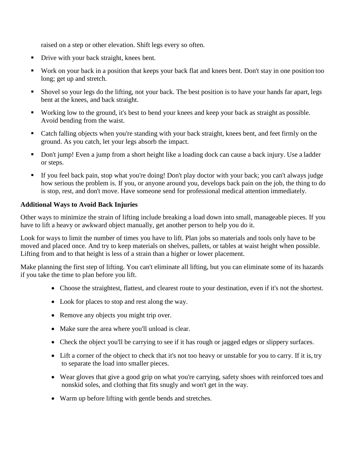raised on a step or other elevation. Shift legs every so often.

- Drive with your back straight, knees bent.
- Work on your back in a position that keeps your back flat and knees bent. Don't stay in one position too long; get up and stretch.
- Shovel so your legs do the lifting, not your back. The best position is to have your hands far apart, legs bent at the knees, and back straight.
- Working low to the ground, it's best to bend your knees and keep your back as straight as possible. Avoid bending from the waist.
- Catch falling objects when you're standing with your back straight, knees bent, and feet firmly on the ground. As you catch, let your legs absorb the impact.
- Don't jump! Even a jump from a short height like a loading dock can cause a back injury. Use a ladder or steps.
- If you feel back pain, stop what you're doing! Don't play doctor with your back; you can't always judge how serious the problem is. If you, or anyone around you, develops back pain on the job, the thing to do is stop, rest, and don't move. Have someone send for professional medical attention immediately.

#### **Additional Ways to Avoid Back Injuries**

Other ways to minimize the strain of lifting include breaking a load down into small, manageable pieces. If you have to lift a heavy or awkward object manually, get another person to help you do it.

Look for ways to limit the number of times you have to lift. Plan jobs so materials and tools only have to be moved and placed once. And try to keep materials on shelves, pallets, or tables at waist height when possible. Lifting from and to that height is less of a strain than a higher or lower placement.

Make planning the first step of lifting. You can't eliminate all lifting, but you can eliminate some of its hazards if you take the time to plan before you lift.

- Choose the straightest, flattest, and clearest route to your destination, even if it's not the shortest.
- Look for places to stop and rest along the way.
- Remove any objects you might trip over.
- Make sure the area where you'll unload is clear.
- Check the object you'll be carrying to see if it has rough or jagged edges or slippery surfaces.
- Lift a corner of the object to check that it's not too heavy or unstable for you to carry. If it is, try to separate the load into smaller pieces.
- Wear gloves that give a good grip on what you're carrying, safety shoes with reinforced toes and nonskid soles, and clothing that fits snugly and won't get in the way.
- Warm up before lifting with gentle bends and stretches.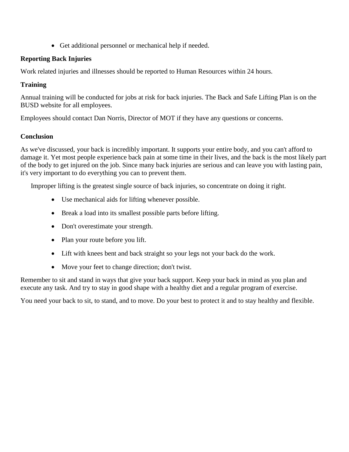Get additional personnel or mechanical help if needed.

#### **Reporting Back Injuries**

Work related injuries and illnesses should be reported to Human Resources within 24 hours.

#### **Training**

Annual training will be conducted for jobs at risk for back injuries. The Back and Safe Lifting Plan is on the BUSD website for all employees.

Employees should contact Dan Norris, Director of MOT if they have any questions or concerns.

#### **Conclusion**

As we've discussed, your back is incredibly important. It supports your entire body, and you can't afford to damage it. Yet most people experience back pain at some time in their lives, and the back is the most likely part of the body to get injured on the job. Since many back injuries are serious and can leave you with lasting pain, it's very important to do everything you can to prevent them.

Improper lifting is the greatest single source of back injuries, so concentrate on doing it right.

- Use mechanical aids for lifting whenever possible.
- Break a load into its smallest possible parts before lifting.
- Don't overestimate your strength.
- Plan your route before you lift.
- Lift with knees bent and back straight so your legs not your back do the work.
- Move your feet to change direction; don't twist.

Remember to sit and stand in ways that give your back support. Keep your back in mind as you plan and execute any task. And try to stay in good shape with a healthy diet and a regular program of exercise.

You need your back to sit, to stand, and to move. Do your best to protect it and to stay healthy and flexible.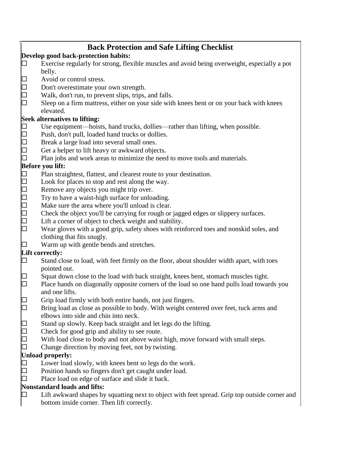|                                      | <b>Back Protection and Safe Lifting Checklist</b> |                                                                                                                      |
|--------------------------------------|---------------------------------------------------|----------------------------------------------------------------------------------------------------------------------|
| Develop good back-protection habits: |                                                   |                                                                                                                      |
|                                      |                                                   | Exercise regularly for strong, flexible muscles and avoid being overweight, especially a pot                         |
|                                      |                                                   | belly.                                                                                                               |
|                                      |                                                   | Avoid or control stress.                                                                                             |
|                                      |                                                   | Don't overestimate your own strength.                                                                                |
|                                      | $\frac{1}{10}$                                    | Walk, don't run, to prevent slips, trips, and falls.                                                                 |
|                                      |                                                   | Sleep on a firm mattress, either on your side with knees bent or on your back with knees                             |
|                                      |                                                   | elevated.                                                                                                            |
|                                      |                                                   | Seek alternatives to lifting:                                                                                        |
|                                      | ⊡                                                 | Use equipment—hoists, hand trucks, dollies—rather than lifting, when possible.                                       |
|                                      | 口                                                 | Push, don't pull, loaded hand trucks or dollies.                                                                     |
|                                      | <br> <br>                                         | Break a large load into several small ones.                                                                          |
|                                      |                                                   | Get a helper to lift heavy or awkward objects.                                                                       |
|                                      |                                                   | Plan jobs and work areas to minimize the need to move tools and materials.                                           |
| Before you lift:                     |                                                   |                                                                                                                      |
|                                      | $\Box$                                            | Plan straightest, flattest, and clearest route to your destination.                                                  |
|                                      |                                                   | Look for places to stop and rest along the way.                                                                      |
|                                      |                                                   | Remove any objects you might trip over.                                                                              |
|                                      |                                                   | Try to have a waist-high surface for unloading.                                                                      |
|                                      |                                                   | Make sure the area where you'll unload is clear.                                                                     |
|                                      | 0000000                                           | Check the object you'll be carrying for rough or jagged edges or slippery surfaces.                                  |
|                                      |                                                   | Lift a corner of object to check weight and stability.                                                               |
|                                      |                                                   | Wear gloves with a good grip, safety shoes with reinforced toes and nonskid soles, and<br>clothing that fits snugly. |
|                                      |                                                   | Warm up with gentle bends and stretches.                                                                             |
|                                      |                                                   | Lift correctly:                                                                                                      |
|                                      | ⊡                                                 | Stand close to load, with feet firmly on the floor, about shoulder width apart, with toes                            |
|                                      |                                                   | pointed out.                                                                                                         |
|                                      |                                                   | Squat down close to the load with back straight, knees bent, stomach muscles tight.                                  |
|                                      |                                                   | Place hands on diagonally opposite corners of the load so one hand pulls load towards you<br>and one lifts.          |
|                                      | ╓┓                                                | Grip load firmly with both entire hands, not just fingers.                                                           |
|                                      |                                                   | Bring load as close as possible to body. With weight centered over feet, tuck arms and                               |
|                                      |                                                   | elbows into side and chin into neck.                                                                                 |
|                                      |                                                   | Stand up slowly. Keep back straight and let legs do the lifting.                                                     |
|                                      |                                                   | Check for good grip and ability to see route.                                                                        |
|                                      |                                                   | With load close to body and not above waist high, move forward with small steps.                                     |
|                                      |                                                   | Change direction by moving feet, not by twisting.                                                                    |
| <b>Unload properly:</b>              |                                                   |                                                                                                                      |
|                                      | ⊡                                                 | Lower load slowly, with knees bent so legs do the work.                                                              |
|                                      |                                                   | Position hands so fingers don't get caught under load.                                                               |
|                                      |                                                   | Place load on edge of surface and slide it back.                                                                     |
|                                      |                                                   | Nonstandard loads and lifts:                                                                                         |
|                                      |                                                   | Lift awkward shapes by squatting next to object with feet spread. Grip top outside corner and                        |
|                                      |                                                   | bottom inside corner. Then lift correctly.                                                                           |
|                                      |                                                   |                                                                                                                      |